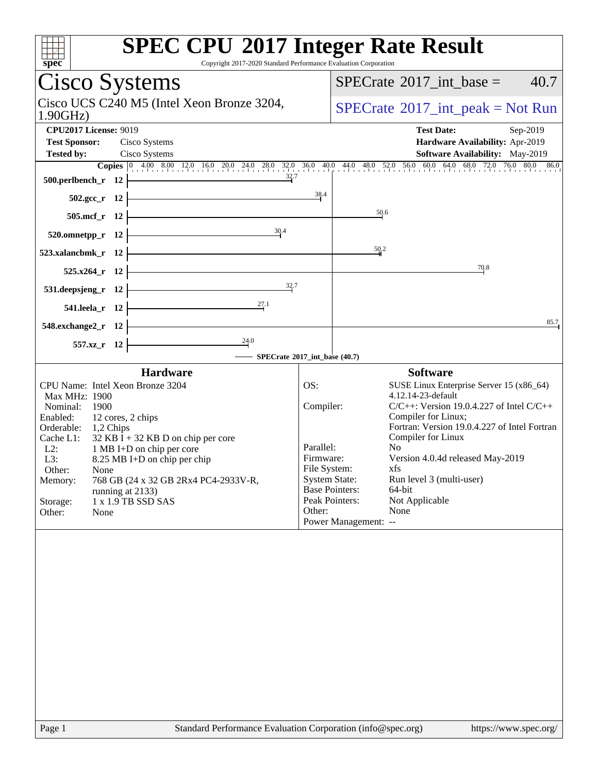| spec                                                                                      | <b>SPEC CPU®2017 Integer Rate Result</b><br>Copyright 2017-2020 Standard Performance Evaluation Corporation                                                                                                                                                                     |
|-------------------------------------------------------------------------------------------|---------------------------------------------------------------------------------------------------------------------------------------------------------------------------------------------------------------------------------------------------------------------------------|
| Cisco Systems                                                                             | 40.7<br>$SPECrate^{\circledast}2017\_int\_base =$                                                                                                                                                                                                                               |
| Cisco UCS C240 M5 (Intel Xeon Bronze 3204,<br>1.90GHz                                     | $SPECTate$ <sup>®</sup> 2017_int_peak = Not Run                                                                                                                                                                                                                                 |
| <b>CPU2017 License: 9019</b>                                                              | <b>Test Date:</b><br>Sep-2019                                                                                                                                                                                                                                                   |
| <b>Test Sponsor:</b><br>Cisco Systems                                                     | Hardware Availability: Apr-2019                                                                                                                                                                                                                                                 |
| <b>Tested by:</b><br>Cisco Systems                                                        | Software Availability: May-2019                                                                                                                                                                                                                                                 |
| $\frac{32}{7}$<br>$500.$ perlbench_r 12                                                   | <b>Copies</b> $\begin{bmatrix} 0 & 4.00 & 8.00 & 12.0 & 16.0 & 20.0 & 24.0 & 28.0 & 32.0 & 36.0 & 40.0 & 44.0 & 48.0 & 52.0 & 56.0 & 60.0 & 64.0 & 68.0 & 72.0 & 76.0 & 80.0 & 86.0 & 86.0 & 86.0 & 86.0 & 86.0 & 86.0 & 86.0 & 86.0 & 86.0 & 86.0 & 86.0 & 86.0 & 86.0 & 86.0$ |
| $502.\text{sec}\text{-r}$ 12                                                              | 38.4                                                                                                                                                                                                                                                                            |
| $505.\text{mcf}_r$ 12                                                                     | 50.6                                                                                                                                                                                                                                                                            |
| 520.omnetpp_r 12 $\frac{30.4}{4}$                                                         |                                                                                                                                                                                                                                                                                 |
| $523.xalancbmk_r 12$                                                                      | 50.2                                                                                                                                                                                                                                                                            |
| <u> 1989 - Johann Stoff, Amerikaansk politiker (</u><br>$525.x264$ <sub>r</sub> 12 -      | 70.8                                                                                                                                                                                                                                                                            |
| $\frac{32}{1}$<br>531.deepsjeng_r $12$                                                    |                                                                                                                                                                                                                                                                                 |
| 541.leela_r 12 $\frac{27.1}{1}$                                                           |                                                                                                                                                                                                                                                                                 |
| $548$ .exchange $2\,\text{r}$ 12                                                          | 85.7                                                                                                                                                                                                                                                                            |
| $\overline{\phantom{a}24.0}$<br>$557.xz$ <sub>r</sub> 12<br>SPECrate®2017_int_base (40.7) |                                                                                                                                                                                                                                                                                 |
| <b>Hardware</b>                                                                           | <b>Software</b>                                                                                                                                                                                                                                                                 |
| CPU Name: Intel Xeon Bronze 3204                                                          | OS:<br>SUSE Linux Enterprise Server 15 (x86_64)                                                                                                                                                                                                                                 |
| Max MHz: 1900                                                                             | 4.12.14-23-default                                                                                                                                                                                                                                                              |
| Nominal:<br>- 1900<br>Enabled:<br>12 cores, 2 chips                                       | Compiler:<br>$C/C++$ : Version 19.0.4.227 of Intel $C/C++$<br>Compiler for Linux;                                                                                                                                                                                               |
| Orderable: 1,2 Chips                                                                      | Fortran: Version 19.0.4.227 of Intel Fortran                                                                                                                                                                                                                                    |
| $32$ KB I + 32 KB D on chip per core<br>Cache L1:                                         | Compiler for Linux                                                                                                                                                                                                                                                              |
| $L2$ :<br>1 MB I+D on chip per core<br>L3:                                                | Parallel:<br>No.<br>Version 4.0.4d released May-2019<br>Firmware:                                                                                                                                                                                                               |
| 8.25 MB I+D on chip per chip<br>Other:<br>None                                            | File System:<br>xfs                                                                                                                                                                                                                                                             |
| 768 GB (24 x 32 GB 2Rx4 PC4-2933V-R,<br>Memory:                                           | <b>System State:</b><br>Run level 3 (multi-user)                                                                                                                                                                                                                                |
| running at 2133)                                                                          | <b>Base Pointers:</b><br>64-bit<br>Peak Pointers:                                                                                                                                                                                                                               |
| 1 x 1.9 TB SSD SAS<br>Storage:<br>Other:<br>None                                          | Not Applicable<br>Other:<br>None                                                                                                                                                                                                                                                |
|                                                                                           | Power Management: --                                                                                                                                                                                                                                                            |
|                                                                                           |                                                                                                                                                                                                                                                                                 |
| Page 1                                                                                    | Standard Performance Evaluation Corporation (info@spec.org)<br>https://www.spec.org/                                                                                                                                                                                            |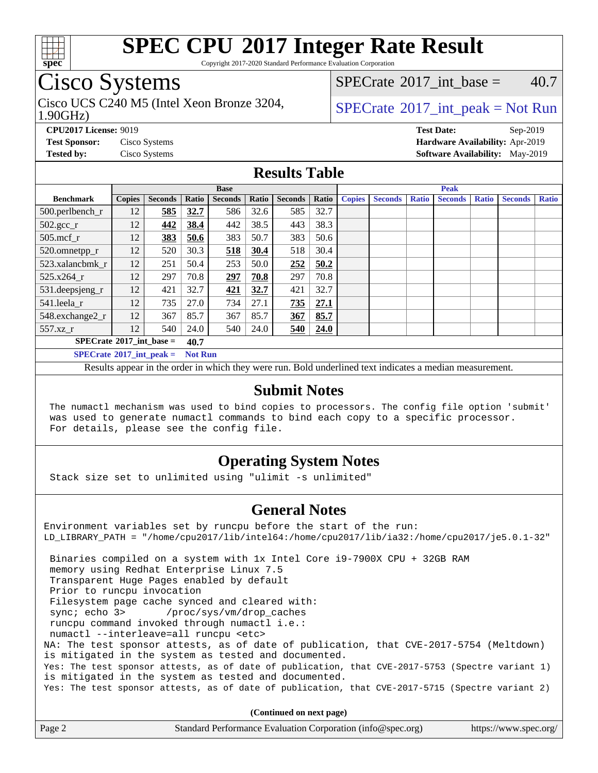

Copyright 2017-2020 Standard Performance Evaluation Corporation

## Cisco Systems

1.90GHz) Cisco UCS C240 M5 (Intel Xeon Bronze 3204,  $SPECrate^{\circ}2017\_int\_peak = Not Run$  $SPECrate^{\circ}2017\_int\_peak = Not Run$ 

[SPECrate](http://www.spec.org/auto/cpu2017/Docs/result-fields.html#SPECrate2017intbase)<sup>®</sup>2017 int base =  $40.7$ 

**[CPU2017 License:](http://www.spec.org/auto/cpu2017/Docs/result-fields.html#CPU2017License)** 9019 **[Test Date:](http://www.spec.org/auto/cpu2017/Docs/result-fields.html#TestDate)** Sep-2019 **[Test Sponsor:](http://www.spec.org/auto/cpu2017/Docs/result-fields.html#TestSponsor)** Cisco Systems **[Hardware Availability:](http://www.spec.org/auto/cpu2017/Docs/result-fields.html#HardwareAvailability)** Apr-2019 **[Tested by:](http://www.spec.org/auto/cpu2017/Docs/result-fields.html#Testedby)** Cisco Systems **[Software Availability:](http://www.spec.org/auto/cpu2017/Docs/result-fields.html#SoftwareAvailability)** May-2019

#### **[Results Table](http://www.spec.org/auto/cpu2017/Docs/result-fields.html#ResultsTable)**

|                                           | <b>Base</b>   |                |                |                |       | <b>Peak</b>    |       |               |                |              |                |              |                |              |
|-------------------------------------------|---------------|----------------|----------------|----------------|-------|----------------|-------|---------------|----------------|--------------|----------------|--------------|----------------|--------------|
| <b>Benchmark</b>                          | <b>Copies</b> | <b>Seconds</b> | Ratio          | <b>Seconds</b> | Ratio | <b>Seconds</b> | Ratio | <b>Copies</b> | <b>Seconds</b> | <b>Ratio</b> | <b>Seconds</b> | <b>Ratio</b> | <b>Seconds</b> | <b>Ratio</b> |
| 500.perlbench_r                           | 12            | 585            | 32.7           | 586            | 32.6  | 585            | 32.7  |               |                |              |                |              |                |              |
| $502.\text{sec}$                          | 12            | 442            | 38.4           | 442            | 38.5  | 443            | 38.3  |               |                |              |                |              |                |              |
| $505$ .mcf r                              | 12            | 383            | 50.6           | 383            | 50.7  | 383            | 50.6  |               |                |              |                |              |                |              |
| 520.omnetpp_r                             | 12            | 520            | 30.3           | 518            | 30.4  | 518            | 30.4  |               |                |              |                |              |                |              |
| 523.xalancbmk_r                           | 12            | 251            | 50.4           | 253            | 50.0  | 252            | 50.2  |               |                |              |                |              |                |              |
| 525.x264 r                                | 12            | 297            | 70.8           | 297            | 70.8  | 297            | 70.8  |               |                |              |                |              |                |              |
| 531.deepsjeng_r                           | 12            | 421            | 32.7           | 421            | 32.7  | 421            | 32.7  |               |                |              |                |              |                |              |
| 541.leela_r                               | 12            | 735            | 27.0           | 734            | 27.1  | 735            | 27.1  |               |                |              |                |              |                |              |
| 548.exchange2_r                           | 12            | 367            | 85.7           | 367            | 85.7  | 367            | 85.7  |               |                |              |                |              |                |              |
| $557.xz$ _r                               | 12            | 540            | 24.0           | 540            | 24.0  | 540            | 24.0  |               |                |              |                |              |                |              |
| $SPECrate^{\circ}2017$ int base =<br>40.7 |               |                |                |                |       |                |       |               |                |              |                |              |                |              |
| $SPECrate^{\circ}2017\_int\_peak =$       |               |                | <b>Not Run</b> |                |       |                |       |               |                |              |                |              |                |              |

Results appear in the [order in which they were run](http://www.spec.org/auto/cpu2017/Docs/result-fields.html#RunOrder). Bold underlined text [indicates a median measurement](http://www.spec.org/auto/cpu2017/Docs/result-fields.html#Median).

#### **[Submit Notes](http://www.spec.org/auto/cpu2017/Docs/result-fields.html#SubmitNotes)**

 The numactl mechanism was used to bind copies to processors. The config file option 'submit' was used to generate numactl commands to bind each copy to a specific processor. For details, please see the config file.

### **[Operating System Notes](http://www.spec.org/auto/cpu2017/Docs/result-fields.html#OperatingSystemNotes)**

Stack size set to unlimited using "ulimit -s unlimited"

### **[General Notes](http://www.spec.org/auto/cpu2017/Docs/result-fields.html#GeneralNotes)**

Environment variables set by runcpu before the start of the run: LD\_LIBRARY\_PATH = "/home/cpu2017/lib/intel64:/home/cpu2017/lib/ia32:/home/cpu2017/je5.0.1-32" Binaries compiled on a system with 1x Intel Core i9-7900X CPU + 32GB RAM memory using Redhat Enterprise Linux 7.5 Transparent Huge Pages enabled by default Prior to runcpu invocation Filesystem page cache synced and cleared with: sync; echo 3> /proc/sys/vm/drop\_caches runcpu command invoked through numactl i.e.: numactl --interleave=all runcpu <etc> NA: The test sponsor attests, as of date of publication, that CVE-2017-5754 (Meltdown) is mitigated in the system as tested and documented. Yes: The test sponsor attests, as of date of publication, that CVE-2017-5753 (Spectre variant 1) is mitigated in the system as tested and documented. Yes: The test sponsor attests, as of date of publication, that CVE-2017-5715 (Spectre variant 2)

**(Continued on next page)**

| Page 2<br>Standard Performance Evaluation Corporation (info@spec.org)<br>https://www.spec.org/ |
|------------------------------------------------------------------------------------------------|
|------------------------------------------------------------------------------------------------|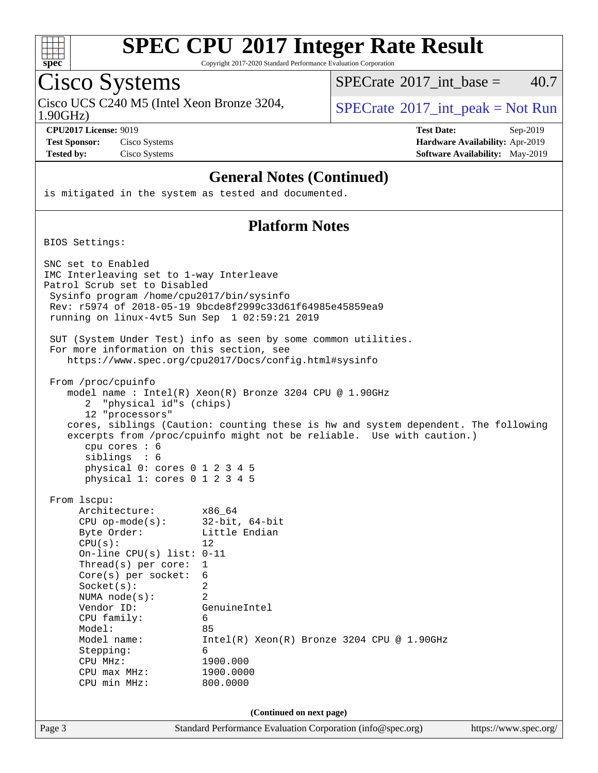

Copyright 2017-2020 Standard Performance Evaluation Corporation

### Cisco Systems

Cisco UCS C240 M5 (Intel Xeon Bronze 3204,  $\vert$  [SPECrate](http://www.spec.org/auto/cpu2017/Docs/result-fields.html#SPECrate2017intpeak) 2017 int peak = Not Run

[SPECrate](http://www.spec.org/auto/cpu2017/Docs/result-fields.html#SPECrate2017intbase)<sup>®</sup>2017 int\_base =  $40.7$ 

1.90GHz)

**[Test Sponsor:](http://www.spec.org/auto/cpu2017/Docs/result-fields.html#TestSponsor)** Cisco Systems **[Hardware Availability:](http://www.spec.org/auto/cpu2017/Docs/result-fields.html#HardwareAvailability)** Apr-2019 **[Tested by:](http://www.spec.org/auto/cpu2017/Docs/result-fields.html#Testedby)** Cisco Systems **[Software Availability:](http://www.spec.org/auto/cpu2017/Docs/result-fields.html#SoftwareAvailability)** May-2019

**[CPU2017 License:](http://www.spec.org/auto/cpu2017/Docs/result-fields.html#CPU2017License)** 9019 **[Test Date:](http://www.spec.org/auto/cpu2017/Docs/result-fields.html#TestDate)** Sep-2019

### **[General Notes \(Continued\)](http://www.spec.org/auto/cpu2017/Docs/result-fields.html#GeneralNotes)**

is mitigated in the system as tested and documented.

### **[Platform Notes](http://www.spec.org/auto/cpu2017/Docs/result-fields.html#PlatformNotes)**

BIOS Settings:

Page 3 Standard Performance Evaluation Corporation [\(info@spec.org\)](mailto:info@spec.org) <https://www.spec.org/> SNC set to Enabled IMC Interleaving set to 1-way Interleave Patrol Scrub set to Disabled Sysinfo program /home/cpu2017/bin/sysinfo Rev: r5974 of 2018-05-19 9bcde8f2999c33d61f64985e45859ea9 running on linux-4vt5 Sun Sep 1 02:59:21 2019 SUT (System Under Test) info as seen by some common utilities. For more information on this section, see <https://www.spec.org/cpu2017/Docs/config.html#sysinfo> From /proc/cpuinfo model name : Intel(R) Xeon(R) Bronze 3204 CPU @ 1.90GHz 2 "physical id"s (chips) 12 "processors" cores, siblings (Caution: counting these is hw and system dependent. The following excerpts from /proc/cpuinfo might not be reliable. Use with caution.) cpu cores : 6 siblings : 6 physical 0: cores 0 1 2 3 4 5 physical 1: cores 0 1 2 3 4 5 From lscpu: Architecture: x86\_64 CPU op-mode(s): 32-bit, 64-bit Byte Order: Little Endian  $CPU(s):$  12 On-line CPU(s) list: 0-11 Thread(s) per core: 1 Core(s) per socket: 6 Socket(s): 2 NUMA node(s): 2 Vendor ID: GenuineIntel CPU family: 6 Model: 85<br>Model name: 1n Intel(R) Xeon(R) Bronze 3204 CPU @ 1.90GHz Stepping: 6 CPU MHz: 1900.000 CPU max MHz: 1900.0000 CPU min MHz: 800.0000 **(Continued on next page)**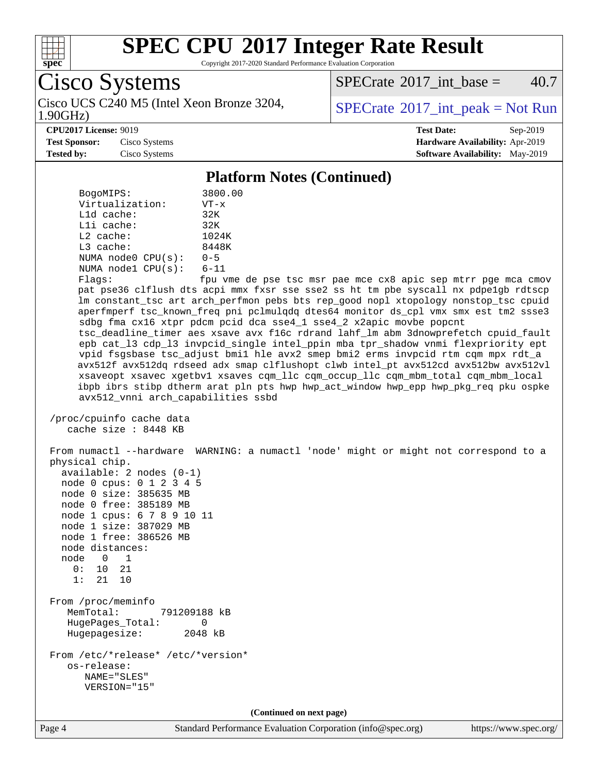

Copyright 2017-2020 Standard Performance Evaluation Corporation

Cisco Systems

1.90GHz) Cisco UCS C240 M5 (Intel Xeon Bronze 3204,  $\vert$  [SPECrate](http://www.spec.org/auto/cpu2017/Docs/result-fields.html#SPECrate2017intpeak) 2017 int peak = Not Run

[SPECrate](http://www.spec.org/auto/cpu2017/Docs/result-fields.html#SPECrate2017intbase)<sup>®</sup>2017 int base =  $40.7$ 

**[CPU2017 License:](http://www.spec.org/auto/cpu2017/Docs/result-fields.html#CPU2017License)** 9019 **[Test Date:](http://www.spec.org/auto/cpu2017/Docs/result-fields.html#TestDate)** Sep-2019 **[Test Sponsor:](http://www.spec.org/auto/cpu2017/Docs/result-fields.html#TestSponsor)** Cisco Systems **[Hardware Availability:](http://www.spec.org/auto/cpu2017/Docs/result-fields.html#HardwareAvailability)** Apr-2019 **[Tested by:](http://www.spec.org/auto/cpu2017/Docs/result-fields.html#Testedby)** Cisco Systems **[Software Availability:](http://www.spec.org/auto/cpu2017/Docs/result-fields.html#SoftwareAvailability)** May-2019

#### **[Platform Notes \(Continued\)](http://www.spec.org/auto/cpu2017/Docs/result-fields.html#PlatformNotes)**

| BogoMIPS:               | 3800.00  |
|-------------------------|----------|
| Virtualization:         | $VT - x$ |
| $L1d$ cache:            | 32K      |
| $L1i$ cache:            | 32K      |
| $L2$ cache:             | 1024K    |
| $L3$ cache:             | 8448K    |
| NUMA $node0$ $CPU(s)$ : | $0 - 5$  |
| NUMA nodel CPU(s):      | $6 - 11$ |
|                         |          |

Flags: fpu vme de pse tsc msr pae mce cx8 apic sep mtrr pge mca cmov pat pse36 clflush dts acpi mmx fxsr sse sse2 ss ht tm pbe syscall nx pdpe1gb rdtscp lm constant\_tsc art arch\_perfmon pebs bts rep\_good nopl xtopology nonstop\_tsc cpuid aperfmperf tsc\_known\_freq pni pclmulqdq dtes64 monitor ds\_cpl vmx smx est tm2 ssse3 sdbg fma cx16 xtpr pdcm pcid dca sse4\_1 sse4\_2 x2apic movbe popcnt tsc\_deadline\_timer aes xsave avx f16c rdrand lahf\_lm abm 3dnowprefetch cpuid\_fault epb cat\_l3 cdp\_l3 invpcid\_single intel\_ppin mba tpr\_shadow vnmi flexpriority ept vpid fsgsbase tsc\_adjust bmi1 hle avx2 smep bmi2 erms invpcid rtm cqm mpx rdt\_a avx512f avx512dq rdseed adx smap clflushopt clwb intel\_pt avx512cd avx512bw avx512vl xsaveopt xsavec xgetbv1 xsaves cqm\_llc cqm\_occup\_llc cqm\_mbm\_total cqm\_mbm\_local ibpb ibrs stibp dtherm arat pln pts hwp hwp\_act\_window hwp\_epp hwp\_pkg\_req pku ospke avx512\_vnni arch\_capabilities ssbd

 /proc/cpuinfo cache data cache size : 8448 KB

 From numactl --hardware WARNING: a numactl 'node' might or might not correspond to a physical chip. available: 2 nodes (0-1) node 0 cpus: 0 1 2 3 4 5 node 0 size: 385635 MB node 0 free: 385189 MB node 1 cpus: 6 7 8 9 10 11 node 1 size: 387029 MB node 1 free: 386526 MB node distances: node 0 1 0: 10 21 1: 21 10 From /proc/meminfo MemTotal: 791209188 kB HugePages\_Total: 0 Hugepagesize: 2048 kB From /etc/\*release\* /etc/\*version\* os-release: NAME="SLES" VERSION="15" **(Continued on next page)**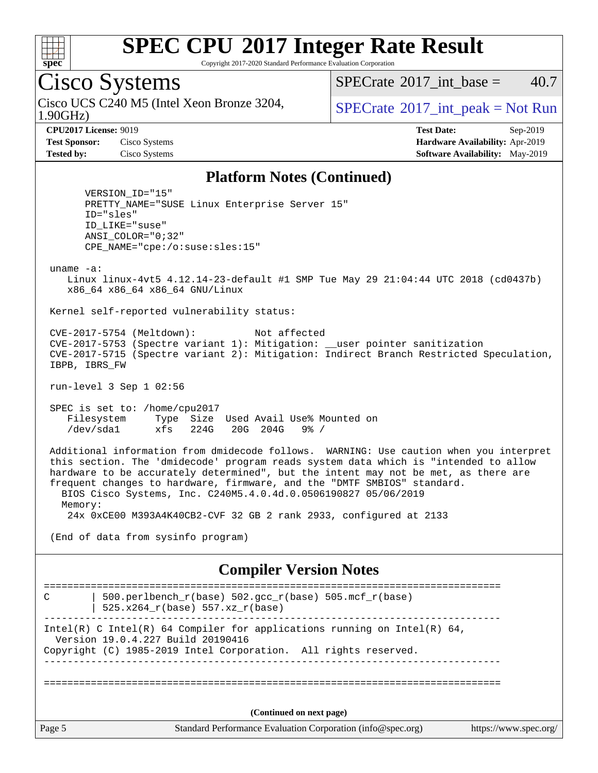

Copyright 2017-2020 Standard Performance Evaluation Corporation

### Cisco Systems

1.90GHz) Cisco UCS C240 M5 (Intel Xeon Bronze 3204,  $SPECrate^{\circ}2017\_int\_peak = Not Run$  $SPECrate^{\circ}2017\_int\_peak = Not Run$ 

[SPECrate](http://www.spec.org/auto/cpu2017/Docs/result-fields.html#SPECrate2017intbase)<sup>®</sup>2017 int\_base =  $40.7$ 

**[Test Sponsor:](http://www.spec.org/auto/cpu2017/Docs/result-fields.html#TestSponsor)** Cisco Systems **[Hardware Availability:](http://www.spec.org/auto/cpu2017/Docs/result-fields.html#HardwareAvailability)** Apr-2019

**[CPU2017 License:](http://www.spec.org/auto/cpu2017/Docs/result-fields.html#CPU2017License)** 9019 **[Test Date:](http://www.spec.org/auto/cpu2017/Docs/result-fields.html#TestDate)** Sep-2019 **[Tested by:](http://www.spec.org/auto/cpu2017/Docs/result-fields.html#Testedby)** Cisco Systems **[Software Availability:](http://www.spec.org/auto/cpu2017/Docs/result-fields.html#SoftwareAvailability)** May-2019

#### **[Platform Notes \(Continued\)](http://www.spec.org/auto/cpu2017/Docs/result-fields.html#PlatformNotes)**

 VERSION\_ID="15" PRETTY\_NAME="SUSE Linux Enterprise Server 15" ID="sles" ID\_LIKE="suse" ANSI\_COLOR="0;32" CPE\_NAME="cpe:/o:suse:sles:15"

uname -a:

 Linux linux-4vt5 4.12.14-23-default #1 SMP Tue May 29 21:04:44 UTC 2018 (cd0437b) x86\_64 x86\_64 x86\_64 GNU/Linux

Kernel self-reported vulnerability status:

 CVE-2017-5754 (Meltdown): Not affected CVE-2017-5753 (Spectre variant 1): Mitigation: \_\_user pointer sanitization CVE-2017-5715 (Spectre variant 2): Mitigation: Indirect Branch Restricted Speculation, IBPB, IBRS\_FW

run-level 3 Sep 1 02:56

 SPEC is set to: /home/cpu2017 Filesystem Type Size Used Avail Use% Mounted on /dev/sda1 xfs 224G 20G 204G 9% /

 Additional information from dmidecode follows. WARNING: Use caution when you interpret this section. The 'dmidecode' program reads system data which is "intended to allow hardware to be accurately determined", but the intent may not be met, as there are frequent changes to hardware, firmware, and the "DMTF SMBIOS" standard. BIOS Cisco Systems, Inc. C240M5.4.0.4d.0.0506190827 05/06/2019 Memory: 24x 0xCE00 M393A4K40CB2-CVF 32 GB 2 rank 2933, configured at 2133

(End of data from sysinfo program)

### **[Compiler Version Notes](http://www.spec.org/auto/cpu2017/Docs/result-fields.html#CompilerVersionNotes)**

Page 5 Standard Performance Evaluation Corporation [\(info@spec.org\)](mailto:info@spec.org) <https://www.spec.org/> ============================================================================== C  $\vert$  500.perlbench\_r(base) 502.gcc\_r(base) 505.mcf\_r(base) | 525.x264\_r(base) 557.xz\_r(base) ------------------------------------------------------------------------------ Intel(R) C Intel(R) 64 Compiler for applications running on Intel(R)  $64$ , Version 19.0.4.227 Build 20190416 Copyright (C) 1985-2019 Intel Corporation. All rights reserved. ------------------------------------------------------------------------------ ============================================================================== **(Continued on next page)**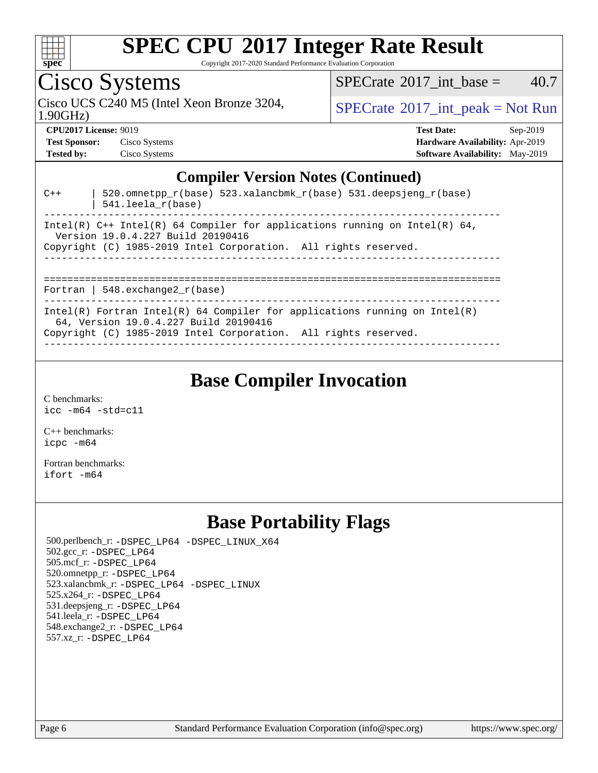

Copyright 2017-2020 Standard Performance Evaluation Corporation

# Cisco Systems

 $SPECTate$ <sup>®</sup>[2017\\_int\\_base =](http://www.spec.org/auto/cpu2017/Docs/result-fields.html#SPECrate2017intbase) 40.7

1.90GHz)

Cisco UCS C240 M5 (Intel Xeon Bronze 3204,  $SPECrate^{\circ}2017\_int\_peak = Not Run$  $SPECrate^{\circ}2017\_int\_peak = Not Run$ 

**[Hardware Availability:](http://www.spec.org/auto/cpu2017/Docs/result-fields.html#HardwareAvailability)** Apr-2019 **[Software Availability:](http://www.spec.org/auto/cpu2017/Docs/result-fields.html#SoftwareAvailability)** May-2019

**[CPU2017 License:](http://www.spec.org/auto/cpu2017/Docs/result-fields.html#CPU2017License)** 9019 **[Test Date:](http://www.spec.org/auto/cpu2017/Docs/result-fields.html#TestDate)** Sep-2019

| <b>Test Sponsor:</b> | Cisco Systems |
|----------------------|---------------|
| <b>Tested by:</b>    | Cisco Systems |

|       | <b>Compiler Version Notes (Continued)</b>                                                                                                                                              |
|-------|----------------------------------------------------------------------------------------------------------------------------------------------------------------------------------------|
| $C++$ | 520.omnetpp $r(base)$ 523.xalancbmk $r(base)$ 531.deepsjeng $r(base)$<br>$541.$ leela r(base)                                                                                          |
|       | Intel(R) $C++$ Intel(R) 64 Compiler for applications running on Intel(R) 64,<br>Version 19.0.4.227 Build 20190416<br>Copyright (C) 1985-2019 Intel Corporation. All rights reserved.   |
|       | Fortran   548.exchange2 $r(base)$                                                                                                                                                      |
|       | Intel(R) Fortran Intel(R) 64 Compiler for applications running on Intel(R)<br>64, Version 19.0.4.227 Build 20190416<br>Copyright (C) 1985-2019 Intel Corporation. All rights reserved. |

### **[Base Compiler Invocation](http://www.spec.org/auto/cpu2017/Docs/result-fields.html#BaseCompilerInvocation)**

[C benchmarks](http://www.spec.org/auto/cpu2017/Docs/result-fields.html#Cbenchmarks): [icc -m64 -std=c11](http://www.spec.org/cpu2017/results/res2019q3/cpu2017-20190903-17757.flags.html#user_CCbase_intel_icc_64bit_c11_33ee0cdaae7deeeab2a9725423ba97205ce30f63b9926c2519791662299b76a0318f32ddfffdc46587804de3178b4f9328c46fa7c2b0cd779d7a61945c91cd35)

[C++ benchmarks:](http://www.spec.org/auto/cpu2017/Docs/result-fields.html#CXXbenchmarks) [icpc -m64](http://www.spec.org/cpu2017/results/res2019q3/cpu2017-20190903-17757.flags.html#user_CXXbase_intel_icpc_64bit_4ecb2543ae3f1412ef961e0650ca070fec7b7afdcd6ed48761b84423119d1bf6bdf5cad15b44d48e7256388bc77273b966e5eb805aefd121eb22e9299b2ec9d9)

[Fortran benchmarks](http://www.spec.org/auto/cpu2017/Docs/result-fields.html#Fortranbenchmarks): [ifort -m64](http://www.spec.org/cpu2017/results/res2019q3/cpu2017-20190903-17757.flags.html#user_FCbase_intel_ifort_64bit_24f2bb282fbaeffd6157abe4f878425411749daecae9a33200eee2bee2fe76f3b89351d69a8130dd5949958ce389cf37ff59a95e7a40d588e8d3a57e0c3fd751)

### **[Base Portability Flags](http://www.spec.org/auto/cpu2017/Docs/result-fields.html#BasePortabilityFlags)**

 500.perlbench\_r: [-DSPEC\\_LP64](http://www.spec.org/cpu2017/results/res2019q3/cpu2017-20190903-17757.flags.html#b500.perlbench_r_basePORTABILITY_DSPEC_LP64) [-DSPEC\\_LINUX\\_X64](http://www.spec.org/cpu2017/results/res2019q3/cpu2017-20190903-17757.flags.html#b500.perlbench_r_baseCPORTABILITY_DSPEC_LINUX_X64) 502.gcc\_r: [-DSPEC\\_LP64](http://www.spec.org/cpu2017/results/res2019q3/cpu2017-20190903-17757.flags.html#suite_basePORTABILITY502_gcc_r_DSPEC_LP64) 505.mcf\_r: [-DSPEC\\_LP64](http://www.spec.org/cpu2017/results/res2019q3/cpu2017-20190903-17757.flags.html#suite_basePORTABILITY505_mcf_r_DSPEC_LP64) 520.omnetpp\_r: [-DSPEC\\_LP64](http://www.spec.org/cpu2017/results/res2019q3/cpu2017-20190903-17757.flags.html#suite_basePORTABILITY520_omnetpp_r_DSPEC_LP64) 523.xalancbmk\_r: [-DSPEC\\_LP64](http://www.spec.org/cpu2017/results/res2019q3/cpu2017-20190903-17757.flags.html#suite_basePORTABILITY523_xalancbmk_r_DSPEC_LP64) [-DSPEC\\_LINUX](http://www.spec.org/cpu2017/results/res2019q3/cpu2017-20190903-17757.flags.html#b523.xalancbmk_r_baseCXXPORTABILITY_DSPEC_LINUX) 525.x264\_r: [-DSPEC\\_LP64](http://www.spec.org/cpu2017/results/res2019q3/cpu2017-20190903-17757.flags.html#suite_basePORTABILITY525_x264_r_DSPEC_LP64) 531.deepsjeng\_r: [-DSPEC\\_LP64](http://www.spec.org/cpu2017/results/res2019q3/cpu2017-20190903-17757.flags.html#suite_basePORTABILITY531_deepsjeng_r_DSPEC_LP64) 541.leela\_r: [-DSPEC\\_LP64](http://www.spec.org/cpu2017/results/res2019q3/cpu2017-20190903-17757.flags.html#suite_basePORTABILITY541_leela_r_DSPEC_LP64) 548.exchange2\_r: [-DSPEC\\_LP64](http://www.spec.org/cpu2017/results/res2019q3/cpu2017-20190903-17757.flags.html#suite_basePORTABILITY548_exchange2_r_DSPEC_LP64) 557.xz\_r: [-DSPEC\\_LP64](http://www.spec.org/cpu2017/results/res2019q3/cpu2017-20190903-17757.flags.html#suite_basePORTABILITY557_xz_r_DSPEC_LP64)